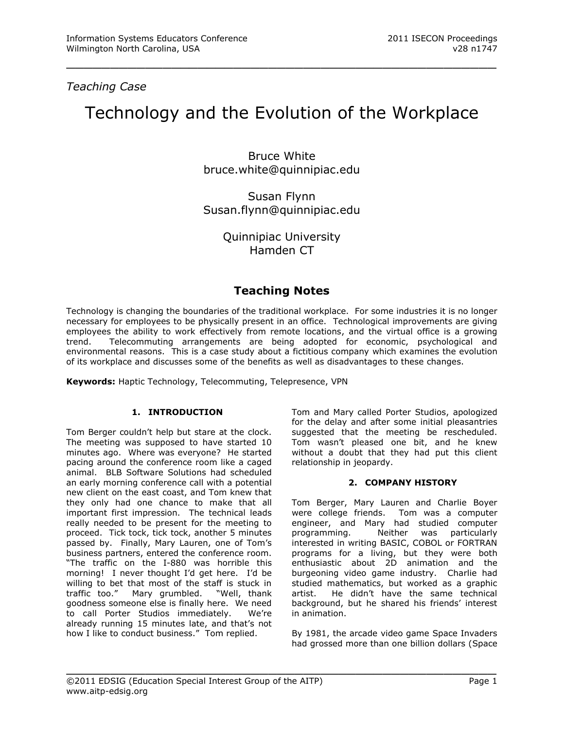*Teaching Case*

# Technology and the Evolution of the Workplace

\_\_\_\_\_\_\_\_\_\_\_\_\_\_\_\_\_\_\_\_\_\_\_\_\_\_\_\_\_\_\_\_\_\_\_\_\_\_\_\_\_\_\_\_\_\_\_\_\_

Bruce White [bruce.white@quinnipiac.edu](mailto:bruce.white@quinnipiac.edu)

Susan Flynn [Susan.flynn@quinnipiac.edu](mailto:Susan.flynn@quinnipiac.edu)

> Quinnipiac University Hamden CT

## **Teaching Notes**

Technology is changing the boundaries of the traditional workplace. For some industries it is no longer necessary for employees to be physically present in an office. Technological improvements are giving employees the ability to work effectively from remote locations, and the virtual office is a growing trend. Telecommuting arrangements are being adopted for economic, psychological and environmental reasons. This is a case study about a fictitious company which examines the evolution of its workplace and discusses some of the benefits as well as disadvantages to these changes.

\_\_\_\_\_\_\_\_\_\_\_\_\_\_\_\_\_\_\_\_\_\_\_\_\_\_\_\_\_\_\_\_\_\_\_\_\_\_\_\_\_\_\_\_\_\_\_\_\_

**Keywords:** Haptic Technology, Telecommuting, Telepresence, VPN

## **1. INTRODUCTION**

Tom Berger couldn't help but stare at the clock. The meeting was supposed to have started 10 minutes ago. Where was everyone? He started pacing around the conference room like a caged animal. BLB Software Solutions had scheduled an early morning conference call with a potential new client on the east coast, and Tom knew that they only had one chance to make that all important first impression. The technical leads really needed to be present for the meeting to proceed. Tick tock, tick tock, another 5 minutes passed by. Finally, Mary Lauren, one of Tom's business partners, entered the conference room. "The traffic on the I-880 was horrible this morning! I never thought I'd get here. I'd be willing to bet that most of the staff is stuck in traffic too." Mary grumbled. "Well, thank goodness someone else is finally here. We need to call Porter Studios immediately. We're already running 15 minutes late, and that's not how I like to conduct business." Tom replied.

Tom and Mary called Porter Studios, apologized for the delay and after some initial pleasantries suggested that the meeting be rescheduled. Tom wasn't pleased one bit, and he knew without a doubt that they had put this client relationship in jeopardy.

## **2. COMPANY HISTORY**

Tom Berger, Mary Lauren and Charlie Boyer were college friends. Tom was a computer engineer, and Mary had studied computer programming. Neither was particularly interested in writing BASIC, COBOL or FORTRAN programs for a living, but they were both enthusiastic about 2D animation and the burgeoning video game industry. Charlie had studied mathematics, but worked as a graphic artist. He didn't have the same technical background, but he shared his friends' interest in animation.

By 1981, the arcade video game Space Invaders had grossed more than one billion dollars (Space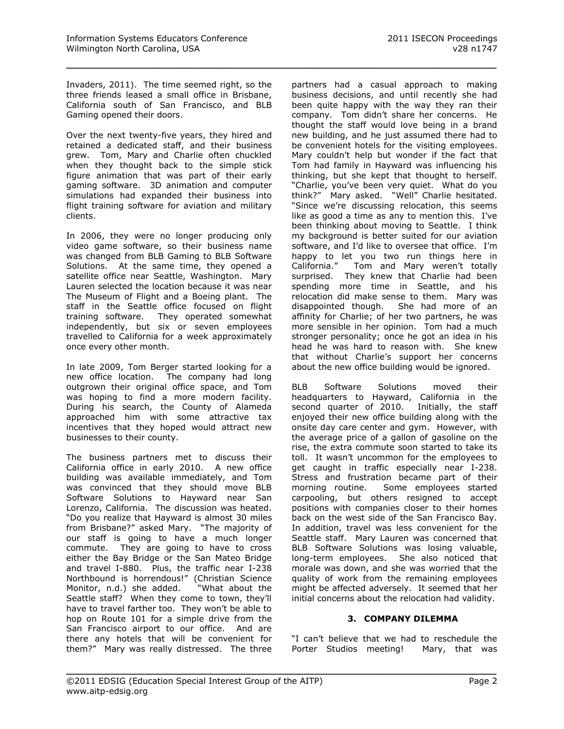Invaders, 2011). The time seemed right, so the three friends leased a small office in Brisbane, California south of San Francisco, and BLB Gaming opened their doors.

\_\_\_\_\_\_\_\_\_\_\_\_\_\_\_\_\_\_\_\_\_\_\_\_\_\_\_\_\_\_\_\_\_\_\_\_\_\_\_\_\_\_\_\_\_\_\_\_\_

Over the next twenty-five years, they hired and retained a dedicated staff, and their business grew. Tom, Mary and Charlie often chuckled when they thought back to the simple stick figure animation that was part of their early gaming software. 3D animation and computer simulations had expanded their business into flight training software for aviation and military clients.

In 2006, they were no longer producing only video game software, so their business name was changed from BLB Gaming to BLB Software Solutions. At the same time, they opened a satellite office near Seattle, Washington. Mary Lauren selected the location because it was near The Museum of Flight and a Boeing plant. The staff in the Seattle office focused on flight training software. They operated somewhat independently, but six or seven employees travelled to California for a week approximately once every other month.

In late 2009, Tom Berger started looking for a new office location. The company had long outgrown their original office space, and Tom was hoping to find a more modern facility. During his search, the County of Alameda approached him with some attractive tax incentives that they hoped would attract new businesses to their county.

The business partners met to discuss their California office in early 2010. A new office building was available immediately, and Tom was convinced that they should move BLB Software Solutions to Hayward near San Lorenzo, California. The discussion was heated. "Do you realize that Hayward is almost 30 miles from Brisbane?" asked Mary. "The majority of our staff is going to have a much longer commute. They are going to have to cross either the Bay Bridge or the San Mateo Bridge and travel I-880. Plus, the traffic near I-238 Northbound is horrendous!" (Christian Science Monitor, n.d.) she added. "What about the Seattle staff? When they come to town, they'll have to travel farther too. They won't be able to hop on Route 101 for a simple drive from the San Francisco airport to our office. And are there any hotels that will be convenient for them?" Mary was really distressed. The three

partners had a casual approach to making business decisions, and until recently she had been quite happy with the way they ran their company. Tom didn't share her concerns. He thought the staff would love being in a brand new building, and he just assumed there had to be convenient hotels for the visiting employees. Mary couldn't help but wonder if the fact that Tom had family in Hayward was influencing his thinking, but she kept that thought to herself. "Charlie, you've been very quiet. What do you think?" Mary asked. "Well" Charlie hesitated. "Since we're discussing relocation, this seems like as good a time as any to mention this. I've been thinking about moving to Seattle. I think my background is better suited for our aviation software, and I'd like to oversee that office. I'm happy to let you two run things here in California." Tom and Mary weren't totally surprised. They knew that Charlie had been spending more time in Seattle, and his relocation did make sense to them. Mary was disappointed though. She had more of an affinity for Charlie; of her two partners, he was more sensible in her opinion. Tom had a much stronger personality; once he got an idea in his head he was hard to reason with. She knew that without Charlie's support her concerns about the new office building would be ignored.

BLB Software Solutions moved their headquarters to Hayward, California in the second quarter of 2010. Initially, the staff enjoyed their new office building along with the onsite day care center and gym. However, with the average price of a gallon of gasoline on the rise, the extra commute soon started to take its toll. It wasn't uncommon for the employees to get caught in traffic especially near I-238. Stress and frustration became part of their morning routine. Some employees started carpooling, but others resigned to accept positions with companies closer to their homes back on the west side of the San Francisco Bay. In addition, travel was less convenient for the Seattle staff. Mary Lauren was concerned that BLB Software Solutions was losing valuable, long-term employees. She also noticed that morale was down, and she was worried that the quality of work from the remaining employees might be affected adversely. It seemed that her initial concerns about the relocation had validity.

#### **3. COMPANY DILEMMA**

"I can't believe that we had to reschedule the Porter Studios meeting! Mary, that was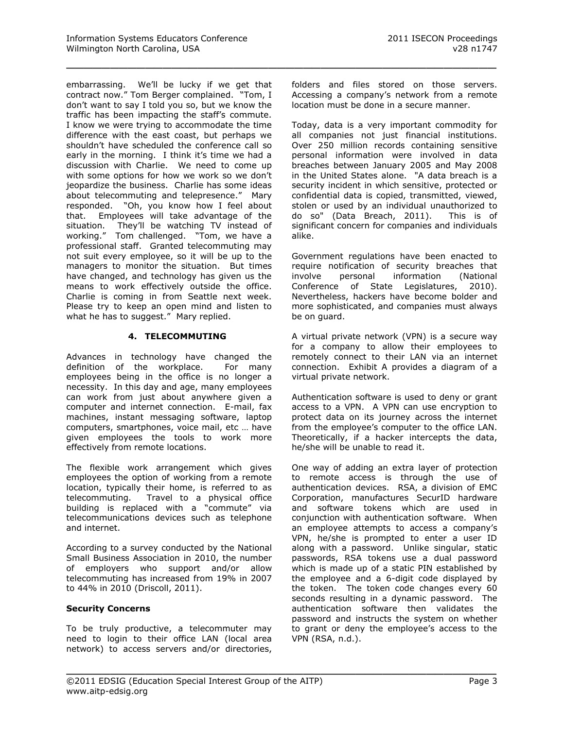embarrassing. We'll be lucky if we get that contract now." Tom Berger complained. "Tom, I don't want to say I told you so, but we know the traffic has been impacting the staff's commute. I know we were trying to accommodate the time difference with the east coast, but perhaps we shouldn't have scheduled the conference call so early in the morning. I think it's time we had a discussion with Charlie. We need to come up with some options for how we work so we don't jeopardize the business. Charlie has some ideas about telecommuting and telepresence." Mary responded. "Oh, you know how I feel about that. Employees will take advantage of the situation. They'll be watching TV instead of working." Tom challenged. "Tom, we have a professional staff. Granted telecommuting may not suit every employee, so it will be up to the managers to monitor the situation. But times have changed, and technology has given us the means to work effectively outside the office. Charlie is coming in from Seattle next week. Please try to keep an open mind and listen to what he has to suggest." Mary replied.

## **4. TELECOMMUTING**

Advances in technology have changed the definition of the workplace. For many employees being in the office is no longer a necessity. In this day and age, many employees can work from just about anywhere given a computer and internet connection. E-mail, fax machines, instant messaging software, laptop computers, smartphones, voice mail, etc … have given employees the tools to work more effectively from remote locations.

The flexible work arrangement which gives employees the option of working from a remote location, typically their home, is referred to as telecommuting. Travel to a physical office building is replaced with a "commute" via telecommunications devices such as telephone and internet.

According to a survey conducted by the [National](http://www.nsba.biz/docs/nsba_2010_technology_survey.pdf)  [Small Business Association](http://www.nsba.biz/docs/nsba_2010_technology_survey.pdf) in 2010, the number of employers who support and/or allow telecommuting has increased from 19% in 2007 to 44% in 2010 (Driscoll, 2011).

## **Security Concerns**

To be truly productive, a telecommuter may need to login to their office LAN (local area network) to access servers and/or directories, folders and files stored on those servers. Accessing a company's network from a remote location must be done in a secure manner.

\_\_\_\_\_\_\_\_\_\_\_\_\_\_\_\_\_\_\_\_\_\_\_\_\_\_\_\_\_\_\_\_\_\_\_\_\_\_\_\_\_\_\_\_\_\_\_\_\_

Today, data is a very important commodity for all companies not just financial institutions. Over 250 million records containing sensitive personal information were involved in data breaches between January 2005 and May 2008 in the United States alone. "A data breach is a security incident in which sensitive, protected or confidential data is copied, transmitted, viewed, stolen or used by an individual unauthorized to do so" (Data Breach, 2011). This is of significant concern for companies and individuals alike.

Government regulations have been enacted to require notification of security breaches that involve personal information (National Conference of State Legislatures, 2010). Nevertheless, hackers have become bolder and more sophisticated, and companies must always be on guard.

A virtual private network (VPN) is a secure way for a company to allow their employees to remotely connect to their [LAN](http://en.wikipedia.org/wiki/Local_Area_Network) via an [internet](http://en.wikipedia.org/wiki/Internet) connection. Exhibit A provides a diagram of a virtual private network.

Authentication software is used to deny or grant access to a VPN. A VPN can use encryption to protect data on its journey across the internet from the employee's computer to the office LAN. Theoretically, if a hacker intercepts the data, he/she will be unable to read it.

One way of adding an extra layer of protection to remote access is through the use of authentication devices. RSA, a division of EMC Corporation, manufactures SecurID hardware and software tokens which are used in conjunction with authentication software. When an employee attempts to access a company's VPN, he/she is prompted to enter a user ID along with a password. Unlike singular, static passwords, RSA tokens use a dual password which is made up of a static PIN established by the employee and a 6-digit code displayed by the token. The token code changes every 60 seconds resulting in a dynamic password. The authentication software then validates the password and instructs the system on whether to grant or deny the employee's access to the VPN (RSA, n.d.).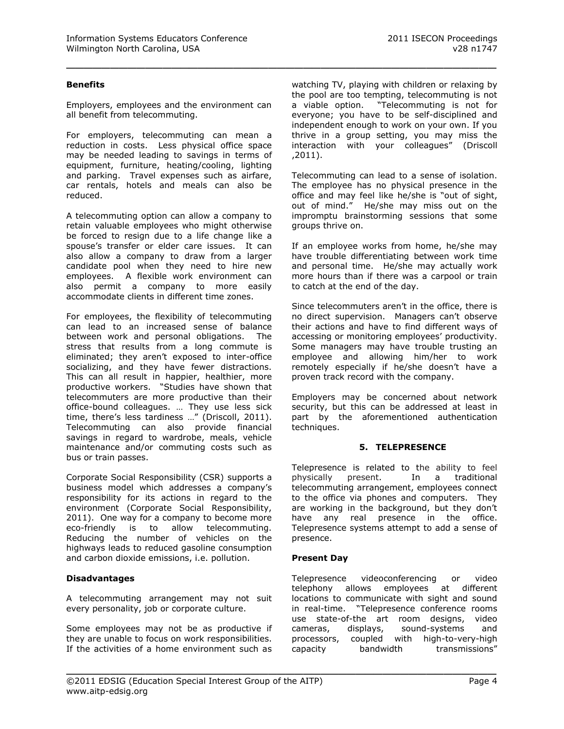## **Benefits**

Employers, employees and the environment can all benefit from telecommuting.

\_\_\_\_\_\_\_\_\_\_\_\_\_\_\_\_\_\_\_\_\_\_\_\_\_\_\_\_\_\_\_\_\_\_\_\_\_\_\_\_\_\_\_\_\_\_\_\_\_

For employers, telecommuting can mean a reduction in costs. Less physical office space may be needed leading to savings in terms of equipment, furniture, heating/cooling, lighting and parking. Travel expenses such as airfare, car rentals, hotels and meals can also be reduced.

A telecommuting option can allow a company to retain valuable employees who might otherwise be forced to resign due to a life change like a spouse's transfer or elder care issues. It can also allow a company to draw from a larger candidate pool when they need to hire new employees. A flexible work environment can also permit a company to more easily accommodate clients in different time zones.

For employees, the flexibility of telecommuting can lead to an increased sense of balance between work and personal obligations. The stress that results from a long commute is eliminated; they aren't exposed to inter-office socializing, and they have fewer distractions. This can all result in happier, healthier, more productive workers. "Studies have shown that telecommuters are more productive than their office-bound colleagues. … They use less sick time, there's less tardiness …" (Driscoll, 2011). Telecommuting can also provide financial savings in regard to wardrobe, meals, vehicle maintenance and/or commuting costs such as bus or train passes.

Corporate Social Responsibility (CSR) supports a business model which addresses a company's responsibility for its actions in regard to the environment (Corporate Social Responsibility, 2011). One way for a company to become more eco-friendly is to allow telecommuting. Reducing the number of vehicles on the highways leads to reduced gasoline consumption and carbon dioxide emissions, i.e. pollution.

#### **Disadvantages**

A telecommuting arrangement may not suit every personality, job or corporate culture.

Some employees may not be as productive if they are unable to focus on work responsibilities. If the activities of a home environment such as watching TV, playing with children or relaxing by the pool are too tempting, telecommuting is not a viable option. "Telecommuting is not for everyone; you have to be self-disciplined and independent enough to work on your own. If you thrive in a group setting, you may miss the interaction with your colleagues" (Driscoll ,2011).

Telecommuting can lead to a sense of isolation. The employee has no physical presence in the office and may feel like he/she is "out of sight, out of mind." He/she may miss out on the impromptu brainstorming sessions that some groups thrive on.

If an employee works from home, he/she may have trouble differentiating between work time and personal time. He/she may actually work more hours than if there was a carpool or train to catch at the end of the day.

Since telecommuters aren't in the office, there is no direct supervision. Managers can't observe their actions and have to find different ways of accessing or monitoring employees' productivity. Some managers may have trouble trusting an employee and allowing him/her to work remotely especially if he/she doesn't have a proven track record with the company.

Employers may be concerned about network security, but this can be addressed at least in part by the aforementioned authentication techniques.

#### **5. TELEPRESENCE**

Telepresence is related to the ability to feel physically present. In a traditional telecommuting arrangement, employees connect to the office via phones and computers. They are working in the background, but they don't have any real presence in the office. Telepresence systems attempt to add a sense of presence.

#### **Present Day**

\_\_\_\_\_\_\_\_\_\_\_\_\_\_\_\_\_\_\_\_\_\_\_\_\_\_\_\_\_\_\_\_\_\_\_\_\_\_\_\_\_\_\_\_\_\_\_\_\_

Telepresence videoconferencing or video telephony allows employees at different locations to communicate with sight and sound in real-time. "Telepresence conference rooms use state-of-the art room designs, video cameras, displays, sound-systems and processors, coupled with high-to-very-high capacity bandwidth transmissions"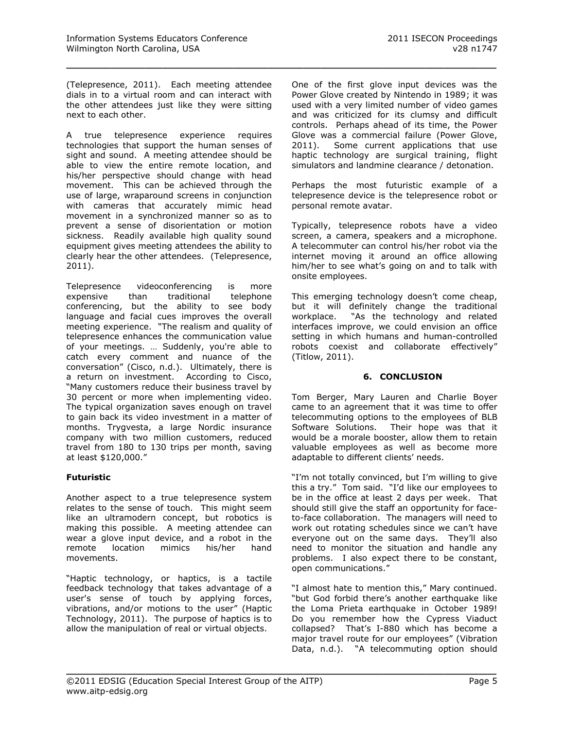(Telepresence, 2011). Each meeting attendee dials in to a virtual room and can interact with the other attendees just like they were sitting next to each other.

\_\_\_\_\_\_\_\_\_\_\_\_\_\_\_\_\_\_\_\_\_\_\_\_\_\_\_\_\_\_\_\_\_\_\_\_\_\_\_\_\_\_\_\_\_\_\_\_\_

A true telepresence experience requires technologies that support the human senses of sight and sound. A meeting attendee should be able to view the entire remote location, and his/her perspective should change with head movement. This can be achieved through the use of large, wraparound screens in conjunction with cameras that accurately mimic head movement in a synchronized manner so as to prevent a sense of disorientation or motion sickness. Readily available high quality sound equipment gives meeting attendees the ability to clearly hear the other attendees. (Telepresence, 2011).

Telepresence videoconferencing is more expensive than traditional telephone conferencing, but the ability to see body language and facial cues improves the overall meeting experience. "The realism and quality of telepresence enhances the communication value of your meetings. … Suddenly, you're able to catch every comment and nuance of the conversation" (Cisco, n.d.). Ultimately, there is a return on investment. According to Cisco, "Many customers reduce their business travel by 30 percent or more when implementing video. The typical organization saves enough on travel to gain back its video investment in a matter of months. Trygvesta, a large Nordic insurance company with two million customers, reduced travel from 180 to 130 trips per month, [saving](http://www.tandberg.com/video-conferencing-case-studies/tandberg-banking-financial-customers-stories/trygvesta-insurance-nordic-countries.pdf)  [at least \\$120,000](http://www.tandberg.com/video-conferencing-case-studies/tandberg-banking-financial-customers-stories/trygvesta-insurance-nordic-countries.pdf)."

## **Futuristic**

Another aspect to a true telepresence system relates to the sense of touch. This might seem like an ultramodern concept, but robotics is making this possible. A meeting attendee can wear a glove input device, and a robot in the remote location mimics his/her hand movements.

"Haptic technology, or haptics, is a tactile feedback technology that takes advantage of a user's sense of touch by applying [forces,](http://en.wikipedia.org/wiki/Forces) [vibrations,](http://en.wikipedia.org/wiki/Vibrations) and/or motions to the user" (Haptic Technology, 2011). The purpose of haptics is to allow the manipulation of real or virtual objects.

One of the first glove input devices was the Power Glove created by Nintendo in 1989; it was used with a very limited number of video games and was criticized for its clumsy and difficult controls. Perhaps ahead of its time, the Power Glove was a commercial failure (Power Glove, 2011). Some current applications that use haptic technology are surgical training, flight simulators and landmine clearance / detonation.

Perhaps the most futuristic example of a telepresence device is the telepresence robot or personal remote avatar.

Typically, telepresence robots have a video screen, a camera, speakers and a microphone. A telecommuter can control his/her robot via the internet moving it around an office allowing him/her to see what's going on and to talk with onsite employees.

This emerging technology doesn't come cheap, but it will definitely change the traditional workplace. "As the technology and related interfaces improve, we could envision an office setting in which humans and human-controlled robots coexist and collaborate effectively" (Titlow, 2011).

## **6. CONCLUSION**

Tom Berger, Mary Lauren and Charlie Boyer came to an agreement that it was time to offer telecommuting options to the employees of BLB Software Solutions. Their hope was that it would be a morale booster, allow them to retain valuable employees as well as become more adaptable to different clients' needs.

"I'm not totally convinced, but I'm willing to give this a try." Tom said. "I'd like our employees to be in the office at least 2 days per week. That should still give the staff an opportunity for faceto-face collaboration. The managers will need to work out rotating schedules since we can't have everyone out on the same days. They'll also need to monitor the situation and handle any problems. I also expect there to be constant, open communications."

"I almost hate to mention this," Mary continued. "but God forbid there's another earthquake like the Loma Prieta earthquake in October 1989! Do you remember how the Cypress Viaduct collapsed? That's I-880 which has become a major travel route for our employees" (Vibration Data, n.d.). "A telecommuting option should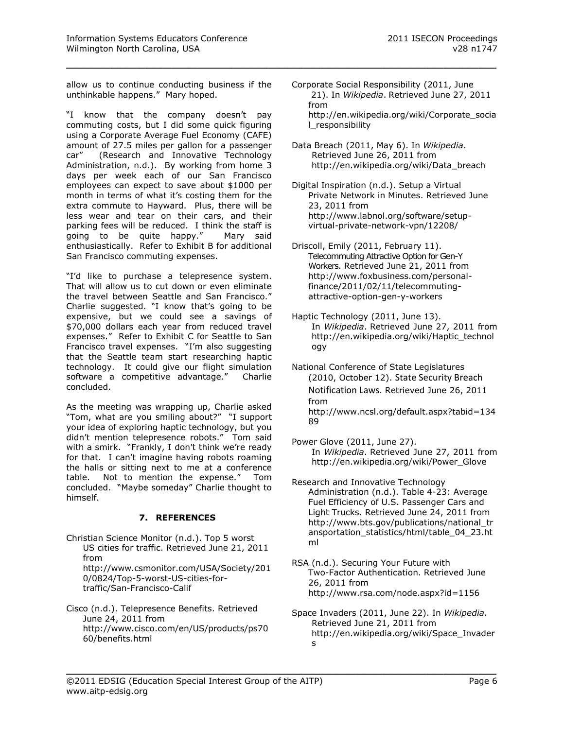allow us to continue conducting business if the unthinkable happens." Mary hoped.

\_\_\_\_\_\_\_\_\_\_\_\_\_\_\_\_\_\_\_\_\_\_\_\_\_\_\_\_\_\_\_\_\_\_\_\_\_\_\_\_\_\_\_\_\_\_\_\_\_

"I know that the company doesn't pay commuting costs, but I did some quick figuring using a Corporate Average Fuel Economy (CAFE) amount of 27.5 miles per gallon for a passenger car" (Research and Innovative Technology Administration, n.d.). By working from home 3 days per week each of our San Francisco employees can expect to save about \$1000 per month in terms of what it's costing them for the extra commute to Hayward. Plus, there will be less wear and tear on their cars, and their parking fees will be reduced. I think the staff is going to be quite happy." Mary said enthusiastically. Refer to Exhibit B for additional San Francisco commuting expenses.

"I'd like to purchase a telepresence system. That will allow us to cut down or even eliminate the travel between Seattle and San Francisco." Charlie suggested. "I know that's going to be expensive, but we could see a savings of \$70,000 dollars each year from reduced travel expenses." Refer to Exhibit C for Seattle to San Francisco travel expenses. "I'm also suggesting that the Seattle team start researching haptic technology. It could give our flight simulation software a competitive advantage." Charlie concluded.

As the meeting was wrapping up, Charlie asked "Tom, what are you smiling about?" "I support your idea of exploring haptic technology, but you didn't mention telepresence robots." Tom said with a smirk. "Frankly, I don't think we're ready for that. I can't imagine having robots roaming the halls or sitting next to me at a conference table. Not to mention the expense." Tom concluded. "Maybe someday" Charlie thought to himself.

## **7. REFERENCES**

- Christian Science Monitor (n.d.). Top 5 worst US cities for traffic. Retrieved June 21, 2011 from http://www.csmonitor.com/USA/Society/201 0/0824/Top-5-worst-US-cities-fortraffic/San-Francisco-Calif
- Cisco (n.d.). Telepresence Benefits. Retrieved June 24, 2011 from http://www.cisco.com/en/US/products/ps70 60/benefits.html
- Corporate Social Responsibility (2011, June 21). In *Wikipedia*. Retrieved June 27, 2011 from http://en.wikipedia.org/wiki/Corporate\_socia l\_responsibility
- Data Breach (2011, May 6). In *Wikipedia*. Retrieved June 26, 2011 from http://en.wikipedia.org/wiki/Data\_breach
- Digital Inspiration (n.d.). Setup a Virtual Private Network in Minutes. Retrieved June 23, 2011 from http://www.labnol.org/software/setupvirtual-private-network-vpn/12208/
- Driscoll, Emily (2011, February 11). Telecommuting Attractive Option for Gen-Y Workers. Retrieved June 21, 2011 from http://www.foxbusiness.com/personalfinance/2011/02/11/telecommutingattractive-option-gen-y-workers
- Haptic Technology (2011, June 13). In *Wikipedia*. Retrieved June 27, 2011 from http://en.wikipedia.org/wiki/Haptic\_technol ogy
- [National Conference of State Legislatures](http://www.rita.dot.gov/) [\(2010, October 12\)](http://www.rita.dot.gov/). State Security Breach Notification Laws. Retrieved June 26, 2011 from http://www.ncsl.org/default.aspx?tabid=134 89
- Power Glove (2011, June 27). In *Wikipedia*. Retrieved June 27, 2011 from http://en.wikipedia.org/wiki/Power\_Glove
- [Research and Innovative Technology](http://www.rita.dot.gov/) [Administration \(](http://www.rita.dot.gov/)n.d.). Table 4-23: Average Fuel Efficiency of U.S. Passenger Cars and Light Trucks. Retrieved June 24, 2011 from http://www.bts.gov/publications/national\_tr ansportation\_statistics/html/table\_04\_23.ht ml
- RSA (n.d.). Securing Your Future with Two-Factor Authentication. Retrieved June 26, 2011 from http://www.rsa.com/node.aspx?id=1156
- Space Invaders (2011, June 22). In *Wikipedia*. Retrieved June 21, 2011 from http://en.wikipedia.org/wiki/Space\_Invader s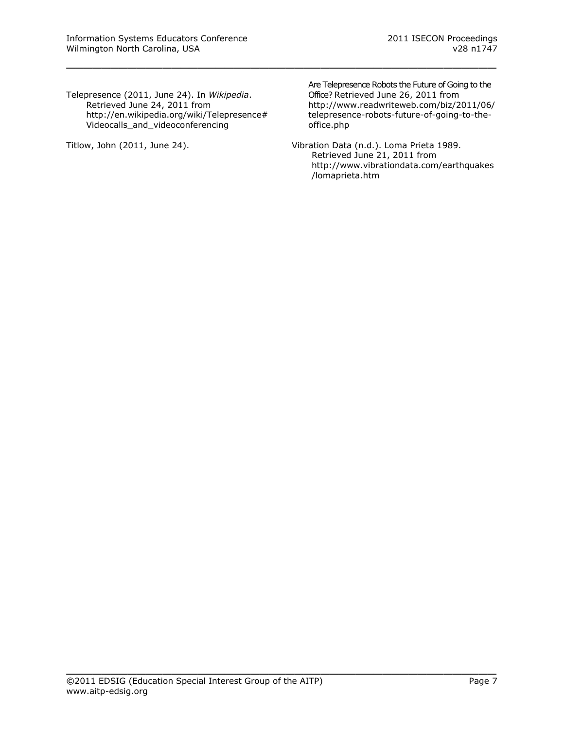Telepresence (2011, June 24). In *Wikipedia*. Retrieved June 24, 2011 from http://en.wikipedia.org/wiki/Telepresence# Videocalls\_and\_videoconferencing

\_\_\_\_\_\_\_\_\_\_\_\_\_\_\_\_\_\_\_\_\_\_\_\_\_\_\_\_\_\_\_\_\_\_\_\_\_\_\_\_\_\_\_\_\_\_\_\_\_

Titlow, John (2011, June 24).

Are Telepresence Robots the Future of Going to the Office? Retrieved June 26, 2011 from http://www.readwriteweb.com/biz/2011/06/ telepresence-robots-future-of-going-to-theoffice.php

Vibration Data (n.d.). Loma Prieta 1989. Retrieved June 21, 2011 from http://www.vibrationdata.com/earthquakes /lomaprieta.htm